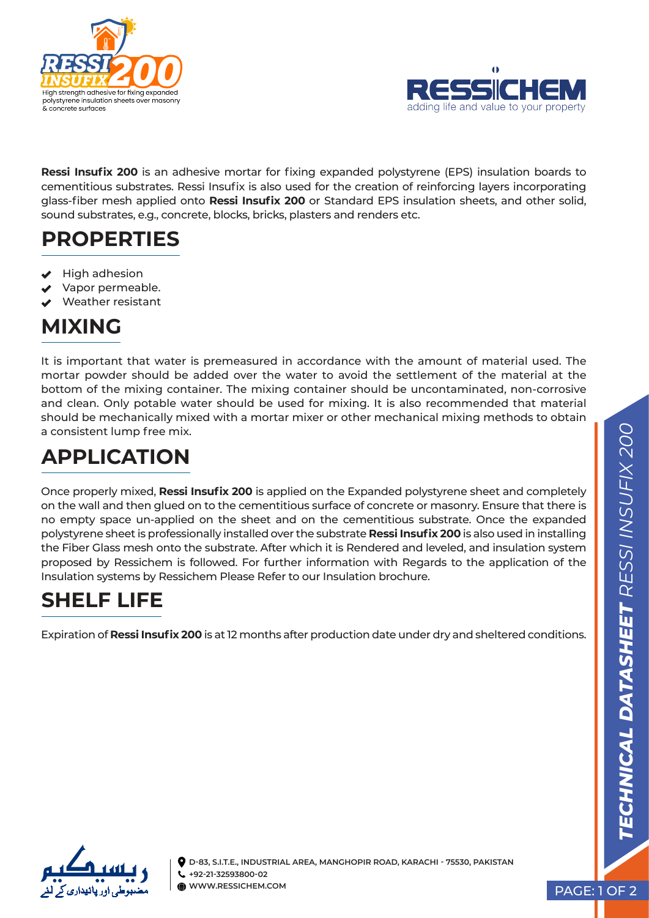



**Ressi Insufix 200** is an adhesive mortar for fixing expanded polystyrene (EPS) insulation boards to cementitious substrates. Ressi Insufix is also used for the creation of reinforcing layers incorporating glass-fiber mesh applied onto **Ressi Insufix 200** or Standard EPS insulation sheets, and other solid, sound substrates, e.g., concrete, blocks, bricks, plasters and renders etc.

#### **PROPERTIES**

- High adhesion
- Vapor permeable.
- Weather resistant

#### **MIXING**

It is important that water is premeasured in accordance with the amount of material used. The mortar powder should be added over the water to avoid the settlement of the material at the bottom of the mixing container. The mixing container should be uncontaminated, non-corrosive and clean. Only potable water should be used for mixing. It is also recommended that material should be mechanically mixed with a mortar mixer or other mechanical mixing methods to obtain a consistent lump free mix.

## **APPLICATION**

Once properly mixed, **Ressi Insufix 200** is applied on the Expanded polystyrene sheet and completely on the wall and then glued on to the cementitious surface of concrete or masonry. Ensure that there is no empty space un-applied on the sheet and on the cementitious substrate. Once the expanded polystyrene sheet is professionally installed over the substrate **Ressi Insufix 200** is also used in installing the Fiber Glass mesh onto the substrate. After which it is Rendered and leveled, and insulation system proposed by Ressichem is followed. For further information with Regards to the application of the Insulation systems by Ressichem Please Refer to our Insulation brochure.

### **SHELF LIFE**

Expiration of **Ressi Insufix 200** is at 12 months after production date under dry and sheltered conditions.



**D-83, S.I.T.E., INDUSTRIAL AREA, MANGHOPIR ROAD, KARACHI - 75530, PAKISTAN +92-21-32593800-02 WWW.RESSICHEM.COM** PAGE: 1 OF 2